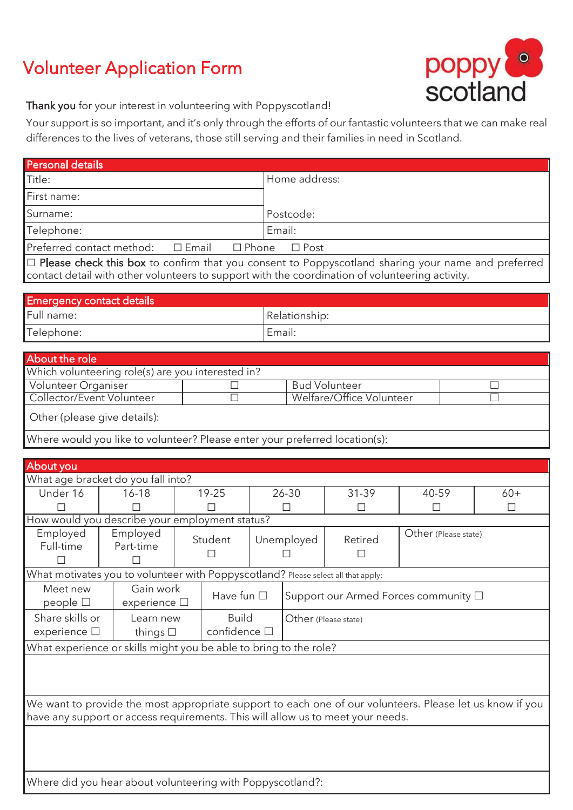# Volunteer Application Form



Thank you for your interest in volunteering with Poppyscotland!

Your support is so important, and it's only through the efforts of our fantastic volunteers that we can make real differences to the lives of veterans, those still serving and their families in need in Scotland.

| Personal details                                                                                                                                                                            |                        |                                   |              |                                                  |                                              |              |                      |       |  |
|---------------------------------------------------------------------------------------------------------------------------------------------------------------------------------------------|------------------------|-----------------------------------|--------------|--------------------------------------------------|----------------------------------------------|--------------|----------------------|-------|--|
| Title:                                                                                                                                                                                      |                        |                                   |              |                                                  | Home address:                                |              |                      |       |  |
| First name:                                                                                                                                                                                 |                        |                                   |              |                                                  |                                              |              |                      |       |  |
| Surname:                                                                                                                                                                                    |                        |                                   |              |                                                  | Postcode:                                    |              |                      |       |  |
| Telephone:                                                                                                                                                                                  |                        |                                   |              |                                                  | Email:                                       |              |                      |       |  |
| Preferred contact method:<br>$\square$ Email<br>$\square$ Phone<br>$\Box$ Post                                                                                                              |                        |                                   |              |                                                  |                                              |              |                      |       |  |
| □ Please check this box to confirm that you consent to Poppyscotland sharing your name and preferred                                                                                        |                        |                                   |              |                                                  |                                              |              |                      |       |  |
| contact detail with other volunteers to support with the coordination of volunteering activity.                                                                                             |                        |                                   |              |                                                  |                                              |              |                      |       |  |
|                                                                                                                                                                                             |                        |                                   |              |                                                  |                                              |              |                      |       |  |
| <b>Emergency contact details</b><br>Full name:                                                                                                                                              |                        |                                   |              |                                                  | Relationship:                                |              |                      |       |  |
| Telephone:                                                                                                                                                                                  |                        |                                   |              |                                                  | Email:                                       |              |                      |       |  |
|                                                                                                                                                                                             |                        |                                   |              |                                                  |                                              |              |                      |       |  |
| <b>About the role</b>                                                                                                                                                                       |                        |                                   |              |                                                  |                                              |              |                      |       |  |
| Which volunteering role(s) are you interested in?                                                                                                                                           |                        |                                   |              |                                                  |                                              |              |                      |       |  |
| Volunteer Organiser<br>Collector/Event Volunteer                                                                                                                                            |                        |                                   |              | <b>Bud Volunteer</b><br>Welfare/Office Volunteer |                                              |              |                      |       |  |
| П                                                                                                                                                                                           |                        |                                   |              |                                                  |                                              |              |                      |       |  |
| Other (please give details):                                                                                                                                                                |                        |                                   |              |                                                  |                                              |              |                      |       |  |
| Where would you like to volunteer? Please enter your preferred location(s):                                                                                                                 |                        |                                   |              |                                                  |                                              |              |                      |       |  |
|                                                                                                                                                                                             |                        |                                   |              |                                                  |                                              |              |                      |       |  |
| About you                                                                                                                                                                                   |                        |                                   |              |                                                  |                                              |              |                      |       |  |
| What age bracket do you fall into?<br>Under 16                                                                                                                                              | $16 - 18$              |                                   | 19-25        |                                                  | 26-30                                        | 31-39        | 40-59                | $60+$ |  |
|                                                                                                                                                                                             |                        |                                   |              |                                                  |                                              |              | П                    | П     |  |
| How would you describe your employment status?                                                                                                                                              |                        |                                   |              |                                                  |                                              |              |                      |       |  |
| Employed                                                                                                                                                                                    | Employed               |                                   | Student      |                                                  | Unemployed                                   | Retired      | Other (Please state) |       |  |
|                                                                                                                                                                                             | Full-time<br>Part-time |                                   |              |                                                  |                                              | $\mathsf{L}$ |                      |       |  |
|                                                                                                                                                                                             |                        |                                   |              |                                                  |                                              |              |                      |       |  |
| What motivates you to volunteer with Poppyscotland? Please select all that apply:<br>Meet new                                                                                               |                        |                                   |              |                                                  |                                              |              |                      |       |  |
| people $\square$                                                                                                                                                                            |                        | Gain work<br>experience $\square$ |              | Have fun $\square$                               | Support our Armed Forces community $\square$ |              |                      |       |  |
| Share skills or                                                                                                                                                                             | Learn new              |                                   | <b>Build</b> |                                                  | Other (Please state)                         |              |                      |       |  |
| experience $\square$                                                                                                                                                                        |                        | things $\square$                  |              | confidence $\square$                             |                                              |              |                      |       |  |
| What experience or skills might you be able to bring to the role?                                                                                                                           |                        |                                   |              |                                                  |                                              |              |                      |       |  |
|                                                                                                                                                                                             |                        |                                   |              |                                                  |                                              |              |                      |       |  |
|                                                                                                                                                                                             |                        |                                   |              |                                                  |                                              |              |                      |       |  |
|                                                                                                                                                                                             |                        |                                   |              |                                                  |                                              |              |                      |       |  |
| We want to provide the most appropriate support to each one of our volunteers. Please let us know if you<br>have any support or access requirements. This will allow us to meet your needs. |                        |                                   |              |                                                  |                                              |              |                      |       |  |
|                                                                                                                                                                                             |                        |                                   |              |                                                  |                                              |              |                      |       |  |
|                                                                                                                                                                                             |                        |                                   |              |                                                  |                                              |              |                      |       |  |
|                                                                                                                                                                                             |                        |                                   |              |                                                  |                                              |              |                      |       |  |
|                                                                                                                                                                                             |                        |                                   |              |                                                  |                                              |              |                      |       |  |

Where did you hear about volunteering with Poppyscotland?: